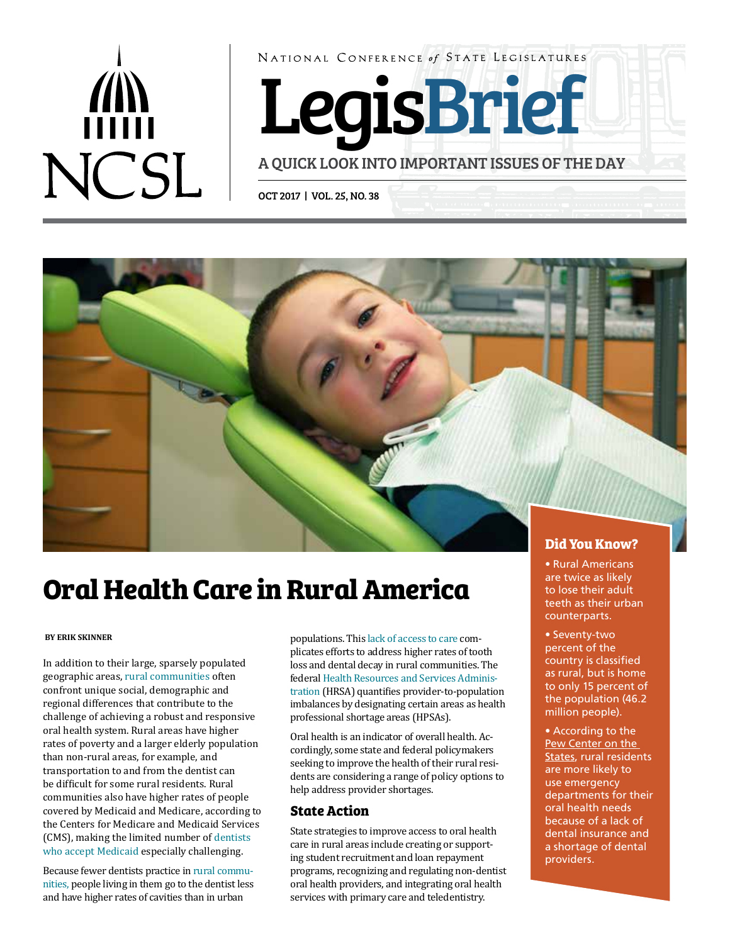# **NCSL**

NATIONAL CONFERENCE of STATE LEGISLATURES

LegisBrief

A QUICK LOOK INTO IMPORTANT ISSUES OF THE DAY

OCT 2017 | VOL. 25, NO. 38



# **Oral Health Care in Rural America**

# **BY ERIK SKINNER**

In addition to their large, sparsely populated geographic areas, [rural communities](https://srhrc.tamhsc.edu/docs/rhp2020-volume-2.pdf) often confront unique social, demographic and regional differences that contribute to the challenge of achieving a robust and responsive oral health system. Rural areas have higher rates of poverty and a larger elderly population than non-rural areas, for example, and transportation to and from the dentist can be difficult for some rural residents. Rural communities also have higher rates of people covered by Medicaid and Medicare, according to the Centers for Medicare and Medicaid Services (CMS), making the limited number of [dentists](http://www.kff.org/medicaid/issue-brief/access-to-dental-care-in-medicaid-spotlight-on-nonelderly-adults/)  [who accept Medicaid](http://www.kff.org/medicaid/issue-brief/access-to-dental-care-in-medicaid-spotlight-on-nonelderly-adults/) especially challenging.

Because fewer dentists practice in [rural commu](http://depts.washington.edu/uwrhrc/uploads/Rural_Dentists_PB_2009.pdf)[nities](http://depts.washington.edu/uwrhrc/uploads/Rural_Dentists_PB_2009.pdf), people living in them go to the dentist less and have higher rates of cavities than in urban

populations. This [lack of access to care](https://www.ruralhealthinfo.org/topics/oral-health#disparities) complicates efforts to address higher rates of tooth loss and dental decay in rural communities. The federal [Health Resources and Services Adminis](https://bhw.hrsa.gov/shortage-designation/hpsas)[tration](https://bhw.hrsa.gov/shortage-designation/hpsas) (HRSA) quantifies provider-to-population imbalances by designating certain areas as health professional shortage areas (HPSAs).

Oral health is an indicator of overall health. Accordingly, some state and federal policymakers seeking to improve the health of their rural residents are considering a range of policy options to help address provider shortages.

# **State Action**

State strategies to improve access to oral health care in rural areas include creating or supporting student recruitment and loan repayment programs, recognizing and regulating non-dentist oral health providers, and integrating oral health services with primary care and teledentistry.

• Rural Americans are twice as likely to lose their adult teeth as their urban counterparts.

• Seventy-two percent of the country is classified as rural, but is home to only 15 percent of the population (46.2 million people).

• According to the [Pew Center on the](http://www.pewtrusts.org/~/media/assets/2012/01/16/a-costly-dental-destination.pdf)  [States](http://www.pewtrusts.org/~/media/assets/2012/01/16/a-costly-dental-destination.pdf), rural residents are more likely to use emergency departments for their oral health needs because of a lack of dental insurance and a shortage of dental providers.